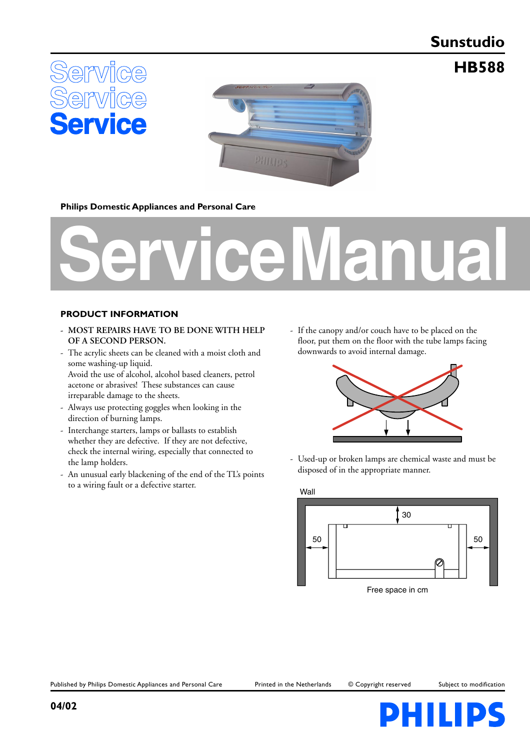# **Sunstudio**

**HB588**





### **Philips Domestic Appliances and Personal Care**



#### **PRODUCT INFORMATION**

- **MOST REPAIRS HAVE TO BE DONE WITH HELP OF A SECOND PERSON.**
- The acrylic sheets can be cleaned with a moist cloth and some washing-up liquid. Avoid the use of alcohol, alcohol based cleaners, petrol acetone or abrasives! These substances can cause

irreparable damage to the sheets.

- Always use protecting goggles when looking in the direction of burning lamps.
- Interchange starters, lamps or ballasts to establish whether they are defective. If they are not defective, check the internal wiring, especially that connected to the lamp holders.
- An unusual early blackening of the end of the TL's points to a wiring fault or a defective starter.

- If the canopy and/or couch have to be placed on the floor, put them on the floor with the tube lamps facing downwards to avoid internal damage.



- Used-up or broken lamps are chemical waste and must be disposed of in the appropriate manner.



Published by Philips Domestic Appliances and Personal Care Printed in the Netherlands © Copyright reserved Subject to modification

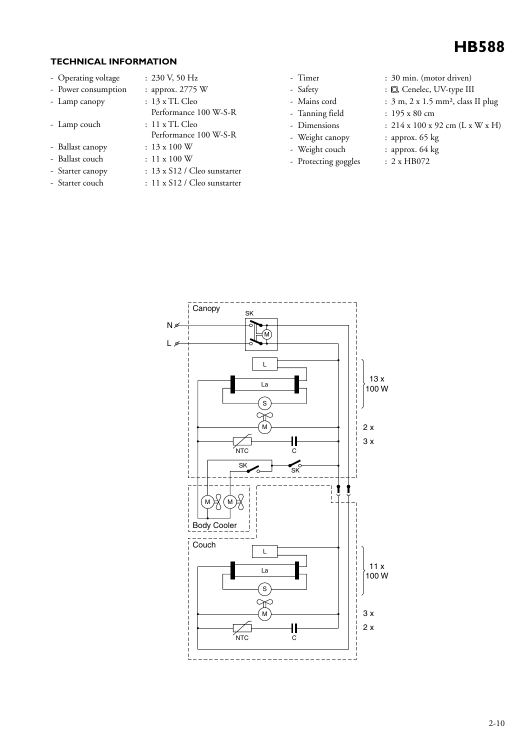

### **TECHNICAL INFORMATION**

- Operating voltage : 230 V, 50 Hz
- 
- Lamp canopy : 13 x TL Cleo
- Lamp couch
- Ballast canopy : 13 x 100 W
- Ballast couch : 11 x 100 W
- Starter canopy : 13 x S12 / Cleo sunstarter
- 
- 
- Power consumption : approx. 2775 W
	-
	- Performance 100 W-S-R<br>: 11 x TL Cleo
		- Performance 100 W-S-R
	-
	-
- Starter couch : 11 x S12 / Cleo sunstarter
- 
- 
- 
- 
- 
- 
- Protecting goggles : 2 x HB072
- Timer : 30 min. (motor driven)
- Safety :  $\Box$ , Cenelec, UV-type III
- Mains cord : 3 m, 2 x 1.5 mm<sup>2</sup>, class II plug
- Tanning field : 195 x 80 cm
- Dimensions :  $214 \times 100 \times 92$  cm (L x W x H)
- Weight canopy : approx. 65 kg
- Weight couch : approx. 64 kg
	-

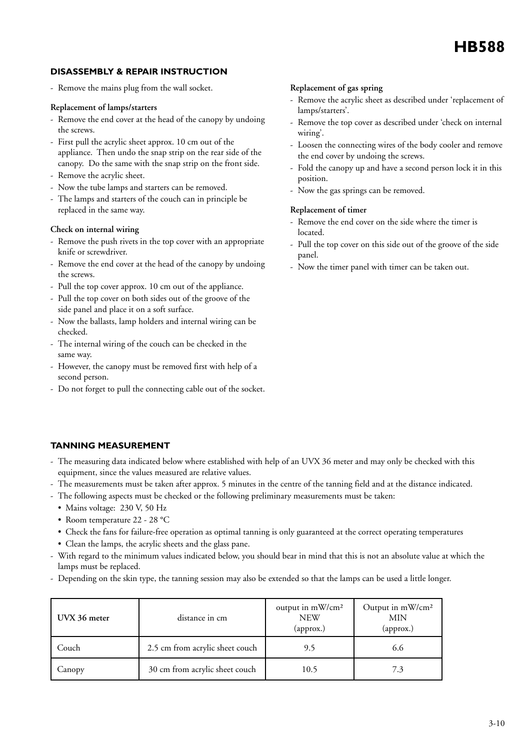### **DISASSEMBLY & REPAIR INSTRUCTION**

- Remove the mains plug from the wall socket.

#### **Replacement of lamps/starters**

- Remove the end cover at the head of the canopy by undoing the screws.
- First pull the acrylic sheet approx. 10 cm out of the appliance. Then undo the snap strip on the rear side of the canopy. Do the same with the snap strip on the front side.
- Remove the acrylic sheet.
- Now the tube lamps and starters can be removed.
- The lamps and starters of the couch can in principle be replaced in the same way.

#### **Check on internal wiring**

- Remove the push rivets in the top cover with an appropriate knife or screwdriver.
- Remove the end cover at the head of the canopy by undoing the screws.
- Pull the top cover approx. 10 cm out of the appliance.
- Pull the top cover on both sides out of the groove of the side panel and place it on a soft surface.
- Now the ballasts, lamp holders and internal wiring can be checked.
- The internal wiring of the couch can be checked in the same way.
- However, the canopy must be removed first with help of a second person.
- Do not forget to pull the connecting cable out of the socket.

#### **Replacement of gas spring**

- Remove the acrylic sheet as described under 'replacement of lamps/starters'.
- Remove the top cover as described under 'check on internal wiring'.
- Loosen the connecting wires of the body cooler and remove the end cover by undoing the screws.
- Fold the canopy up and have a second person lock it in this position.
- Now the gas springs can be removed.

#### **Replacement of timer**

- Remove the end cover on the side where the timer is located.
- Pull the top cover on this side out of the groove of the side panel.
- Now the timer panel with timer can be taken out.

### **TANNING MEASUREMENT**

- The measuring data indicated below where established with help of an UVX 36 meter and may only be checked with this equipment, since the values measured are relative values.
- The measurements must be taken after approx. 5 minutes in the centre of the tanning field and at the distance indicated.
- The following aspects must be checked or the following preliminary measurements must be taken:
	- Mains voltage: 230 V, 50 Hz
	- Room temperature 22 28 °C
	- Check the fans for failure-free operation as optimal tanning is only guaranteed at the correct operating temperatures
	- Clean the lamps, the acrylic sheets and the glass pane.
- With regard to the minimum values indicated below, you should bear in mind that this is not an absolute value at which the lamps must be replaced.
- Depending on the skin type, the tanning session may also be extended so that the lamps can be used a little longer.

| UVX 36 meter | distance in cm                  | output in mW/cm <sup>2</sup><br><b>NEW</b><br>(approx.) | Output in mW/cm <sup>2</sup><br>MIN<br>(approx.) |
|--------------|---------------------------------|---------------------------------------------------------|--------------------------------------------------|
| Couch        | 2.5 cm from acrylic sheet couch | 9.5                                                     | 6.6                                              |
| Canopy       | 30 cm from acrylic sheet couch  | 10.5                                                    | 7.3                                              |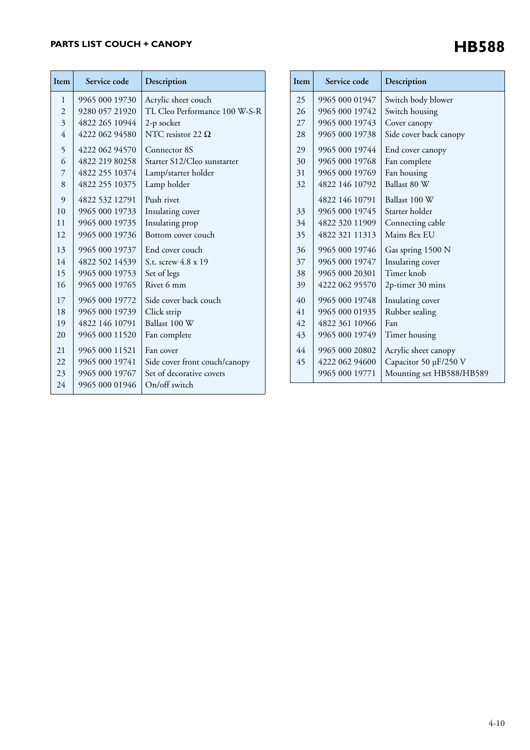## **PARTS LIST COUCH + CANOPY**

| Item           | Service code   | Description                   |
|----------------|----------------|-------------------------------|
| 1              | 9965 000 19730 | Acrylic sheet couch           |
| $\overline{2}$ | 9280 057 21920 | TL Cleo Performance 100 W-S-R |
| 3              | 4822 265 10944 | 2-p socket                    |
| 4              | 4222 062 94580 | NTC resistor 22 $\Omega$      |
| 5              | 4222 062 94570 | Connector 8S                  |
| 6              | 4822 219 80258 | Starter S12/Cleo sunstarter   |
| 7              | 4822 255 10374 | Lamp/starter holder           |
| 8              | 4822 255 10375 | Lamp holder                   |
| 9              | 4822 532 12791 | Push rivet                    |
| 10             | 9965 000 19733 | Insulating cover              |
| 11             | 9965 000 19735 | Insulating prop               |
| 12             | 9965 000 19736 | Bottom cover couch            |
| 13             | 9965 000 19737 | End cover couch               |
| 14             | 4822 502 14539 | S.t. screw 4.8 x 19           |
| 15             | 9965 000 19753 | Set of legs                   |
| 16             | 9965 000 19765 | Rivet 6 mm                    |
| 17             | 9965 000 19772 | Side cover back couch         |
| 18             | 9965 000 19739 | Click strip                   |
| 19             | 4822 146 10791 | Ballast 100 W                 |
| 20             | 9965 000 11520 | Fan complete                  |
| 21             | 9965 000 11521 | Fan cover                     |
| 22             | 9965 000 19741 | Side cover front couch/canopy |
| 23             | 9965 000 19767 | Set of decorative covers      |
| 24             | 9965 000 01946 | On/off switch                 |

| Item | Service code   | Description              |
|------|----------------|--------------------------|
| 25   | 9965 000 01947 | Switch body blower       |
| 26   | 9965 000 19742 | Switch housing           |
| 27   | 9965 000 19743 | Cover canopy             |
| 28   | 9965 000 19738 | Side cover back canopy   |
| 29   | 9965 000 19744 | End cover canopy         |
| 30   | 9965 000 19768 | Fan complete             |
| 31   | 9965 000 19769 | Fan housing              |
| 32   | 4822 146 10792 | Ballast 80 W             |
|      | 4822 146 10791 | Ballast 100 W            |
| 33   | 9965 000 19745 | Starter holder           |
| 34   | 4822 320 11909 | Connecting cable         |
| 35   | 4822 321 11313 | Mains flex EU            |
| 36   | 9965 000 19746 | Gas spring 1500 N        |
| 37   | 9965 000 19747 | Insulating cover         |
| 38   | 9965 000 20301 | Timer knob               |
| 39   | 4222 062 95570 | 2p-timer 30 mins         |
| 40   | 9965 000 19748 | Insulating cover         |
| 41   | 9965 000 01935 | Rubber sealing           |
| 42   | 4822 361 10966 | Fan                      |
| 43   | 9965 000 19749 | Timer housing            |
| 44   | 9965 000 20802 | Acrylic sheet canopy     |
| 45   | 4222 062 94600 | Capacitor 50 µF/250 V    |
|      | 9965 000 19771 | Mounting set HB588/HB589 |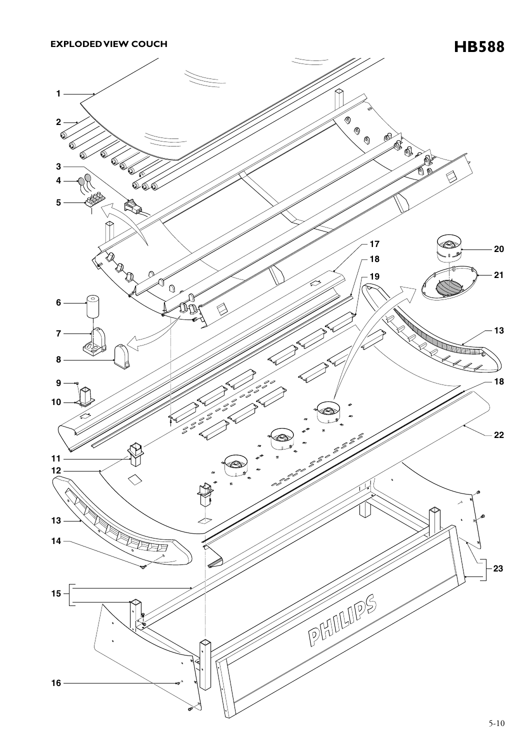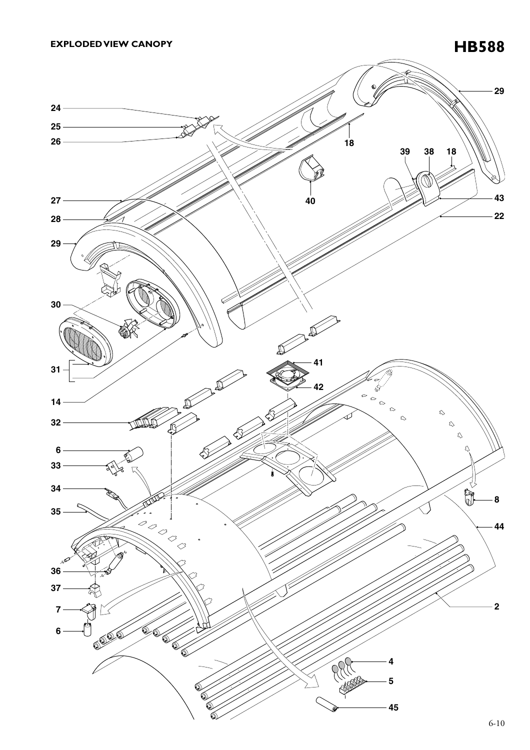**EXPLODED VIEW CANOPY** 



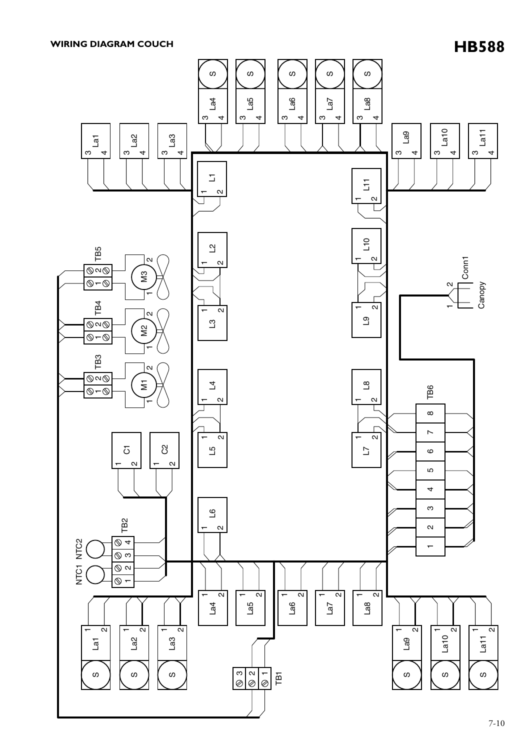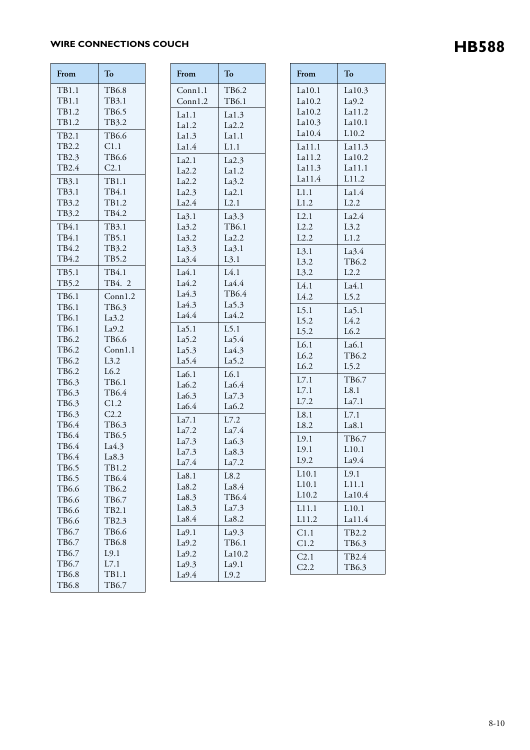## **HB588 WIRE CONNECTIONS COUCH**

| From           | To               |  |
|----------------|------------------|--|
| TB1.1          | TB6.8            |  |
| TB1.1          | TB3.1            |  |
| TB1.2          | TB6.5            |  |
| TB1.2          | TB3.2            |  |
| TB2.1          | TB6.6            |  |
| TB2.2          | C1.1             |  |
| TB2.3          | TB6.6            |  |
| TB2.4          | C <sub>2.1</sub> |  |
| TB3.1          | <b>TB1.1</b>     |  |
| TB3.1          | TB4.1            |  |
| TB3.2          | TB1.2            |  |
| TB3.2          | TB4.2            |  |
| TB4.1          | TB3.1            |  |
| TB4.1          | TB5.1            |  |
| TB4.2          | TB3.2            |  |
| TB4.2          | TB5.2            |  |
| TB5.1          | TB4.1            |  |
| TB5.2          | TB4. 2           |  |
| TB6.1          | Conn1.2          |  |
| TB6.1          | TB6.3            |  |
| TB6.1          | La3.2            |  |
| TB6.1          | La9.2            |  |
| TB6.2          | TB6.6            |  |
| TB6.2          | Conn1.1          |  |
| TB6.2          | L3.2             |  |
| TB6.2          | L6.2             |  |
| TB6.3          | TB6.1            |  |
| TB6.3          | TB6.4            |  |
| TB6.3          | C1.2             |  |
| TB6.3          | C2.2             |  |
| TB6.4<br>TB6.4 | TB6.3<br>TB6.5   |  |
| TB6.4          | La4.3            |  |
| TB6.4          | La8.3            |  |
| TB6.5          | TB1.2            |  |
| TB6.5          | TB6.4            |  |
| TB6.6          | TB6.2            |  |
| TB6.6          | TB6.7            |  |
| TB6.6          | TB2.1            |  |
| TB6.6          | TB2.3            |  |
| TB6.7          | TB6.6            |  |
| TB6.7          | <b>TB6.8</b>     |  |
| TB6.7          | L9.1             |  |
| TB6.7          | L7.1             |  |
| <b>TB6.8</b>   | TB1.1            |  |
| TB6.8          | TB6.7            |  |

| From              | To                |
|-------------------|-------------------|
| Conn1.1           | TB6.2             |
| Conn1.2           | TB6.1             |
| La1.1             | La1.3             |
| La1.2             | La2.2             |
| La1.3             | La1.1             |
| La1.4             | L1.1              |
| La2.1             | La2.3             |
| La2.2             | La1.2             |
| La2.2             | La3.2             |
| La2.3             | La2.1             |
| La2.4             | L2.1              |
| La3.1             | La3.3             |
| La3.2             | TB6.1             |
| La3.2             | La2.2             |
| La3.3             | La3.1             |
| La3.4             | L3.1              |
| La4.1             | L4.1              |
| La4.2             | La4.4             |
| La4.3             | TB6.4             |
| La4.3             | La5.3             |
| La4.4             | La4.2             |
| La <sub>5.1</sub> | $L$ 5.1           |
| La5.2             | La <sub>5.4</sub> |
| La <sub>5.3</sub> | La4.3             |
| La <sub>5.4</sub> | La5.2             |
| La6.1             | L6.1              |
| La6.2             | La6.4             |
| La6.3<br>La6.4    | La7.3             |
|                   | La6.2             |
| La7.1             | L7.2              |
| La7.2             | La7.4             |
| La7.3<br>La7.3    | La6.3<br>La8.3    |
| La7.4             | La7.2             |
| La8.1             | L8.2              |
| La8.2             | La8.4             |
| La8.3             | TB6.4             |
| La8.3             | La7.3             |
| La8.4             | La8.2             |
| La9.1             | La9.3             |
| La9.2             | TB6.1             |
| La9.2             | La10.2            |
| La9.3             | La9.1             |
| La9.4             | L9.2              |

| From              | To                          |
|-------------------|-----------------------------|
| La10.1            | La10.3                      |
| La10.2            | La9.2                       |
| La10.2            | La11.2                      |
| La10.3<br>La10.4  | La10.1<br>L <sub>10.2</sub> |
| La11.1            | La11.3                      |
| La11.2            | La10.2                      |
| La11.3            | La11.1                      |
| La11.4            | L11.2                       |
| L1.1              | La1.4                       |
| L1.2              | L2.2                        |
| L2.1              | La2.4                       |
| L2.2              | L3.2                        |
| L2.2              | L1.2                        |
| L3.1              | La3.4                       |
| L3.2              | TB6.2                       |
| L3.2              | L2.2                        |
| L4.1              | La4.1                       |
| L4.2              | L5.2                        |
| L5.1              | La <sub>5.1</sub>           |
| $L$ 5.2           | L4.2                        |
| L5.2              | L6.2                        |
| L6.1              | La6.1                       |
| L6.2              | TB6.2                       |
| L6.2              | L5.2                        |
| L7.1              | TB6.7                       |
| L7.1              | L8.1                        |
| L7.2              | La7.1                       |
| L8.1              | L7.1                        |
| L8.2              | La8.1                       |
| L9.1              | TB6.7                       |
| L9.1<br>L9.2      | L10.1<br>La9.4              |
|                   |                             |
| L10.1<br>L10.1    | L9.1<br>L11.1               |
| L <sub>10.2</sub> | La10.4                      |
| L11.1             | L <sub>10.1</sub>           |
| L11.2             | La11.4                      |
| C1.1              | TB2.2                       |
| C1.2              | TB6.3                       |
| C2.1              | TB2.4                       |
| C2.2              | TB6.3                       |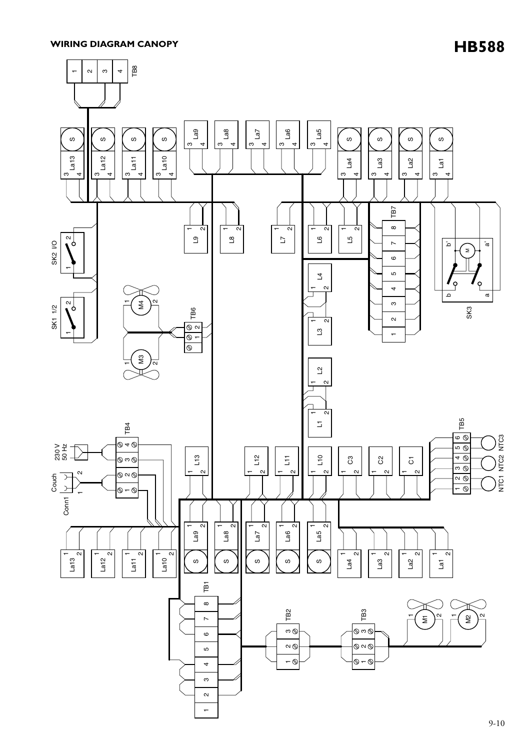**HB588 WIRING DIAGRAM CANOPY**